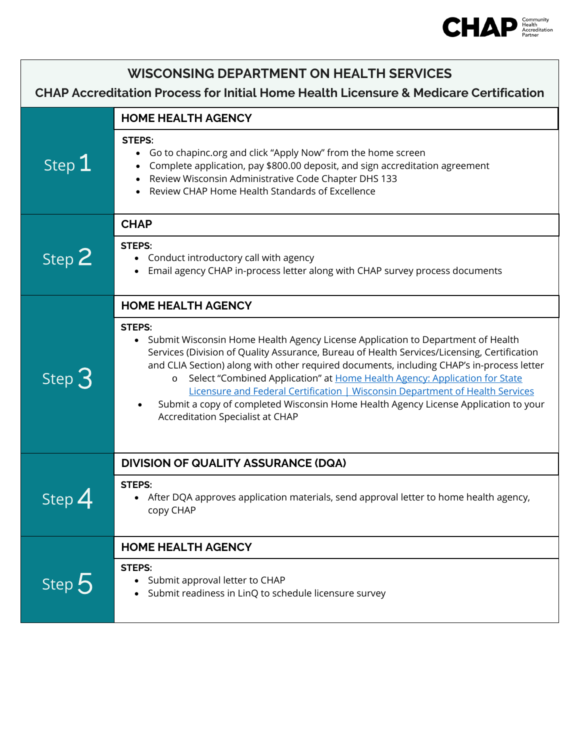

| <b>WISCONSING DEPARTMENT ON HEALTH SERVICES</b><br><b>CHAP Accreditation Process for Initial Home Health Licensure &amp; Medicare Certification</b> |                                                                                                                                                                                                                                                                                                                                                                                                                                                                                                                                                                                                     |  |
|-----------------------------------------------------------------------------------------------------------------------------------------------------|-----------------------------------------------------------------------------------------------------------------------------------------------------------------------------------------------------------------------------------------------------------------------------------------------------------------------------------------------------------------------------------------------------------------------------------------------------------------------------------------------------------------------------------------------------------------------------------------------------|--|
| Step 1                                                                                                                                              | <b>HOME HEALTH AGENCY</b><br><b>STEPS:</b><br>Go to chapinc.org and click "Apply Now" from the home screen<br>Complete application, pay \$800.00 deposit, and sign accreditation agreement<br>$\bullet$<br>Review Wisconsin Administrative Code Chapter DHS 133<br>$\bullet$                                                                                                                                                                                                                                                                                                                        |  |
|                                                                                                                                                     | Review CHAP Home Health Standards of Excellence<br><b>CHAP</b><br><b>STEPS:</b>                                                                                                                                                                                                                                                                                                                                                                                                                                                                                                                     |  |
| Step 2                                                                                                                                              | • Conduct introductory call with agency<br>Email agency CHAP in-process letter along with CHAP survey process documents<br><b>HOME HEALTH AGENCY</b>                                                                                                                                                                                                                                                                                                                                                                                                                                                |  |
| Step $3$                                                                                                                                            | <b>STEPS:</b><br>• Submit Wisconsin Home Health Agency License Application to Department of Health<br>Services (Division of Quality Assurance, Bureau of Health Services/Licensing, Certification<br>and CLIA Section) along with other required documents, including CHAP's in-process letter<br>Select "Combined Application" at Home Health Agency: Application for State<br>$\circ$<br>Licensure and Federal Certification   Wisconsin Department of Health Services<br>Submit a copy of completed Wisconsin Home Health Agency License Application to your<br>Accreditation Specialist at CHAP |  |
| Step $4$                                                                                                                                            | <b>DIVISION OF QUALITY ASSURANCE (DQA)</b>                                                                                                                                                                                                                                                                                                                                                                                                                                                                                                                                                          |  |
|                                                                                                                                                     | <b>STEPS</b><br>• After DQA approves application materials, send approval letter to home health agency,<br>copy CHAP                                                                                                                                                                                                                                                                                                                                                                                                                                                                                |  |
| Step 5                                                                                                                                              | <b>HOME HEALTH AGENCY</b>                                                                                                                                                                                                                                                                                                                                                                                                                                                                                                                                                                           |  |
|                                                                                                                                                     | <b>STEPS:</b><br>Submit approval letter to CHAP<br>Submit readiness in LinQ to schedule licensure survey                                                                                                                                                                                                                                                                                                                                                                                                                                                                                            |  |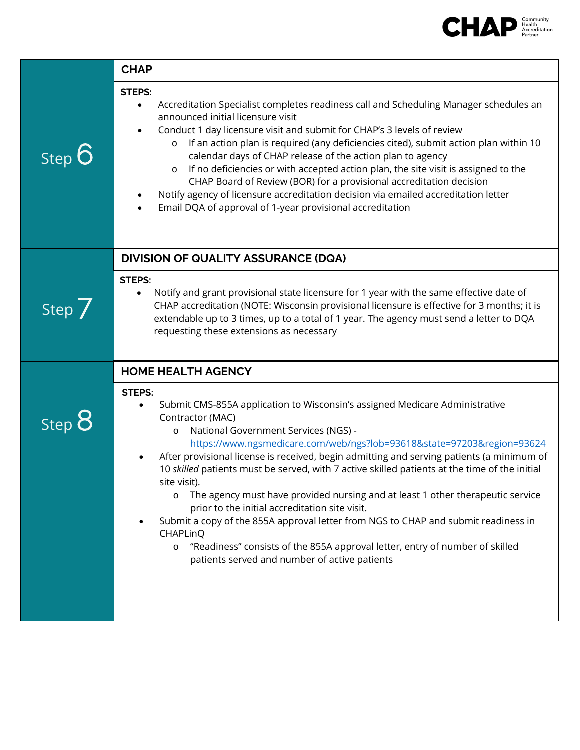

|                                                       | <b>CHAP</b>                                                                                                                                                                                                                                                                                                                                                                                                                                                                                                                                                                                                                                                                                                                                                                                                                                              |
|-------------------------------------------------------|----------------------------------------------------------------------------------------------------------------------------------------------------------------------------------------------------------------------------------------------------------------------------------------------------------------------------------------------------------------------------------------------------------------------------------------------------------------------------------------------------------------------------------------------------------------------------------------------------------------------------------------------------------------------------------------------------------------------------------------------------------------------------------------------------------------------------------------------------------|
| Step 6                                                | <b>STEPS:</b><br>Accreditation Specialist completes readiness call and Scheduling Manager schedules an<br>$\bullet$<br>announced initial licensure visit<br>Conduct 1 day licensure visit and submit for CHAP's 3 levels of review<br>If an action plan is required (any deficiencies cited), submit action plan within 10<br>$\circ$<br>calendar days of CHAP release of the action plan to agency<br>If no deficiencies or with accepted action plan, the site visit is assigned to the<br>$\circ$<br>CHAP Board of Review (BOR) for a provisional accreditation decision<br>Notify agency of licensure accreditation decision via emailed accreditation letter<br>Email DQA of approval of 1-year provisional accreditation                                                                                                                           |
|                                                       | <b>DIVISION OF QUALITY ASSURANCE (DQA)</b>                                                                                                                                                                                                                                                                                                                                                                                                                                                                                                                                                                                                                                                                                                                                                                                                               |
| Step $\overline{\smash{\big)}\smash{\mathop{\big}}\}$ | <b>STEPS:</b><br>Notify and grant provisional state licensure for 1 year with the same effective date of<br>$\bullet$<br>CHAP accreditation (NOTE: Wisconsin provisional licensure is effective for 3 months; it is<br>extendable up to 3 times, up to a total of 1 year. The agency must send a letter to DQA<br>requesting these extensions as necessary                                                                                                                                                                                                                                                                                                                                                                                                                                                                                               |
|                                                       | <b>HOME HEALTH AGENCY</b>                                                                                                                                                                                                                                                                                                                                                                                                                                                                                                                                                                                                                                                                                                                                                                                                                                |
| Step $8$                                              | <b>STEPS:</b><br>Submit CMS-855A application to Wisconsin's assigned Medicare Administrative<br>Contractor (MAC)<br>National Government Services (NGS) -<br>$\circ$<br>https://www.ngsmedicare.com/web/ngs?lob=93618&state=97203&region=93624<br>After provisional license is received, begin admitting and serving patients (a minimum of<br>10 skilled patients must be served, with 7 active skilled patients at the time of the initial<br>site visit).<br>The agency must have provided nursing and at least 1 other therapeutic service<br>$\circ$<br>prior to the initial accreditation site visit.<br>Submit a copy of the 855A approval letter from NGS to CHAP and submit readiness in<br>CHAPLinQ<br>"Readiness" consists of the 855A approval letter, entry of number of skilled<br>$\circ$<br>patients served and number of active patients |